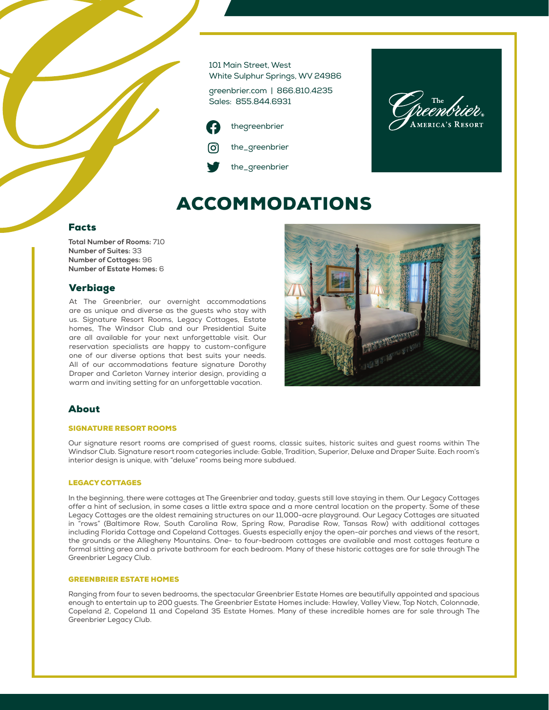101 Main Street, West White Sulphur Springs, WV 24986

greenbrier.com | 866.810.4235 Sales: 855.844.6931





# ACCOMMODATIONS

## Facts

**Total Number of Rooms:** 710 **Number of Suites:** 33 **Number of Cottages:** 96 **Number of Estate Homes:** 6

# Verbiage

At The Greenbrier, our overnight accommodations are as unique and diverse as the guests who stay with us. Signature Resort Rooms, Legacy Cottages, Estate homes, The Windsor Club and our Presidential Suite are all available for your next unforgettable visit. Our reservation specialists are happy to custom-configure one of our diverse options that best suits your needs. All of our accommodations feature signature Dorothy Draper and Carleton Varney interior design, providing a warm and inviting setting for an unforgettable vacation.



# About

## SIGNATURE RESORT ROOMS

Our signature resort rooms are comprised of guest rooms, classic suites, historic suites and guest rooms within The Windsor Club. Signature resort room categories include: Gable, Tradition, Superior, Deluxe and Draper Suite. Each room's interior design is unique, with "deluxe" rooms being more subdued.

## LEGACY COTTAGES

In the beginning, there were cottages at The Greenbrier and today, guests still love staying in them. Our Legacy Cottages offer a hint of seclusion, in some cases a little extra space and a more central location on the property. Some of these Legacy Cottages are the oldest remaining structures on our 11,000-acre playground. Our Legacy Cottages are situated in "rows" (Baltimore Row, South Carolina Row, Spring Row, Paradise Row, Tansas Row) with additional cottages including Florida Cottage and Copeland Cottages. Guests especially enjoy the open-air porches and views of the resort, the grounds or the Allegheny Mountains. One- to four-bedroom cottages are available and most cottages feature a formal sitting area and a private bathroom for each bedroom. Many of these historic cottages are for sale through The Greenbrier Legacy Club.

## GREENBRIER ESTATE HOMES

Ranging from four to seven bedrooms, the spectacular Greenbrier Estate Homes are beautifully appointed and spacious enough to entertain up to 200 guests. The Greenbrier Estate Homes include: Hawley, Valley View, Top Notch, Colonnade, Copeland 2, Copeland 11 and Copeland 35 Estate Homes. Many of these incredible homes are for sale through The Greenbrier Legacy Club.